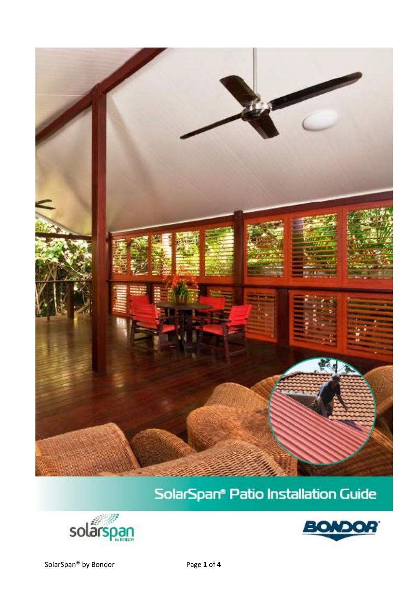

# SolarSpan® Patio Installation Guide





SolarSpan® by Bondor Page 1 of 4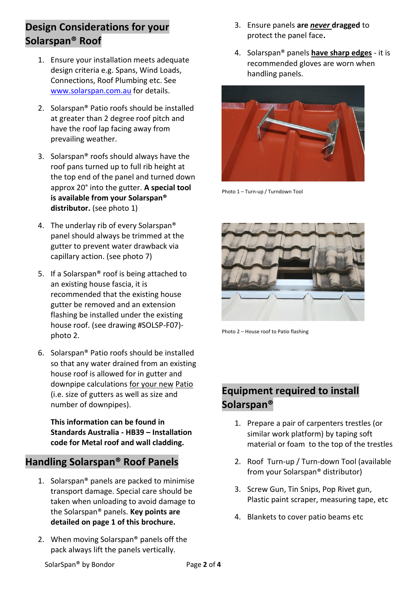## **Design Considerations for your Solarspan® Roof**

- 1. Ensure your installation meets adequate design criteria e.g. Spans, Wind Loads, Connections, Roof Plumbing etc. See [www.solarspan.com.au](http://www.solarspan.com.au/) for details.
- 2. Solarspan® Patio roofs should be installed at greater than 2 degree roof pitch and have the roof lap facing away from prevailing weather.
- 3. Solarspan® roofs should always have the roof pans turned up to full rib height at the top end of the panel and turned down approx 20° into the gutter. **A special tool is available from your Solarspan® distributor.** (see photo 1)
- 4. The underlay rib of every Solarspan® panel should always be trimmed at the gutter to prevent water drawback via capillary action. (see photo 7)
- 5. If a Solarspan® roof is being attached to an existing house fascia, it is recommended that the existing house gutter be removed and an extension flashing be installed under the existing house roof. (see drawing #SOLSP-F07) photo 2.
- 6. Solarspan® Patio roofs should be installed so that any water drained from an existing house roof is allowed for in gutter and downpipe calculations for your new Patio (i.e. size of gutters as well as size and number of downpipes).

**This information can be found in Standards Australia - HB39 – Installation code for Metal roof and wall cladding.** 

#### **Handling Solarspan® Roof Panels**

- 1. Solarspan® panels are packed to minimise transport damage. Special care should be taken when unloading to avoid damage to the Solarspan® panels. **Key points are detailed on page 1 of this brochure.**
- 2. When moving Solarspan® panels off the pack always lift the panels vertically.
- 3. Ensure panels **are** *never* **dragged** to protect the panel face**.**
- 4. Solarspan® panels **have sharp edges** it is recommended gloves are worn when handling panels.



Photo 1 – Turn-up / Turndown Tool



Photo 2 – House roof to Patio flashing

# **Equipment required to install Solarspan®**

- 1. Prepare a pair of carpenters trestles (or similar work platform) by taping soft material or foam to the top of the trestles
- 2. Roof Turn-up / Turn-down Tool (available from your Solarspan® distributor)
- 3. Screw Gun, Tin Snips, Pop Rivet gun, Plastic paint scraper, measuring tape, etc
- 4. Blankets to cover patio beams etc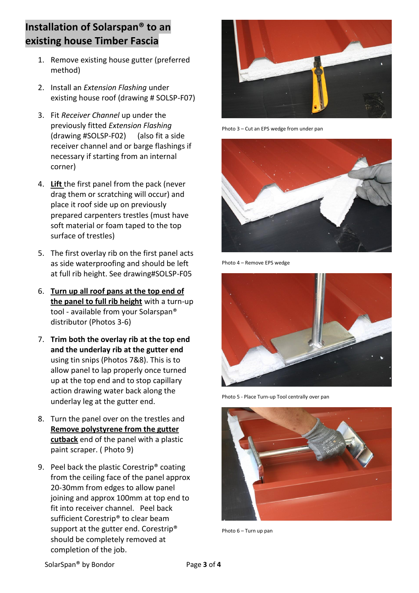## **Installation of Solarspan® to an existing house Timber Fascia**

- 1. Remove existing house gutter (preferred method)
- 2. Install an *Extension Flashing* under existing house roof (drawing # SOLSP-F07)
- 3. Fit *Receiver Channel* up under the previously fitted *Extension Flashing* (drawing #SOLSP-F02) (also fit a side receiver channel and or barge flashings if necessary if starting from an internal corner)
- 4. **Lift** the first panel from the pack (never drag them or scratching will occur) and place it roof side up on previously prepared carpenters trestles (must have soft material or foam taped to the top surface of trestles)
- 5. The first overlay rib on the first panel acts as side waterproofing and should be left at full rib height. See drawing#SOLSP-F05
- 6. **Turn up all roof pans at the top end of the panel to full rib height** with a turn-up tool - available from your Solarspan® distributor (Photos 3-6)
- 7. **Trim both the overlay rib at the top end and the underlay rib at the gutter end** using tin snips (Photos 7&8). This is to allow panel to lap properly once turned up at the top end and to stop capillary action drawing water back along the underlay leg at the gutter end.
- 8. Turn the panel over on the trestles and **Remove polystyrene from the gutter cutback** end of the panel with a plastic paint scraper. ( Photo 9)
- 9. Peel back the plastic Corestrip® coating from the ceiling face of the panel approx 20-30mm from edges to allow panel joining and approx 100mm at top end to fit into receiver channel. Peel back sufficient Corestrip® to clear beam support at the gutter end. Corestrip® should be completely removed at completion of the job.



Photo 3 – Cut an EPS wedge from under pan



Photo 4 – Remove EPS wedge



Photo 5 - Place Turn-up Tool centrally over pan



Photo 6 – Turn up pan